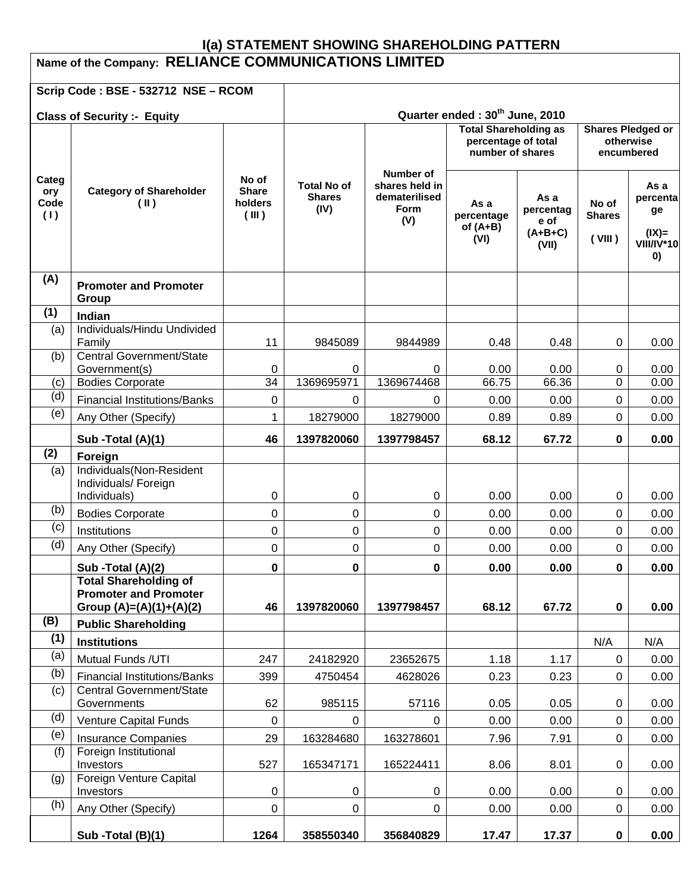# **I(a) STATEMENT SHOWING SHAREHOLDING PATTERN Name of the Company: RELIANCE COMMUNICATIONS LIMITED**

|                                    | Scrip Code: BSE - 532712 NSE - RCOM                             |                                                                         |                                             |                                                                    |                                                     |                                                 |                                  |                                                              |  |
|------------------------------------|-----------------------------------------------------------------|-------------------------------------------------------------------------|---------------------------------------------|--------------------------------------------------------------------|-----------------------------------------------------|-------------------------------------------------|----------------------------------|--------------------------------------------------------------|--|
| <b>Class of Security :- Equity</b> |                                                                 |                                                                         | Quarter ended: 30 <sup>th</sup> June, 2010  |                                                                    |                                                     |                                                 |                                  |                                                              |  |
|                                    |                                                                 | <b>Total Shareholding as</b><br>percentage of total<br>number of shares |                                             |                                                                    | <b>Shares Pledged or</b><br>otherwise<br>encumbered |                                                 |                                  |                                                              |  |
| Categ<br>ory<br>Code<br>(1)        | <b>Category of Shareholder</b><br>$(\mathbb{I})$                | No of<br><b>Share</b><br>holders<br>(III)                               | <b>Total No of</b><br><b>Shares</b><br>(IV) | Number of<br>shares held in<br>dematerilised<br><b>Form</b><br>(V) | As a<br>percentage<br>of $(A+B)$<br>(VI)            | As a<br>percentag<br>e of<br>$(A+B+C)$<br>(VII) | No of<br><b>Shares</b><br>(VIII) | As a<br>percenta<br>ge<br>$(IX)=$<br><b>VIII/IV*10</b><br>0) |  |
| (A)                                | <b>Promoter and Promoter</b><br>Group                           |                                                                         |                                             |                                                                    |                                                     |                                                 |                                  |                                                              |  |
| (1)                                | Indian                                                          |                                                                         |                                             |                                                                    |                                                     |                                                 |                                  |                                                              |  |
| (a)                                | Individuals/Hindu Undivided<br>Family                           | 11                                                                      | 9845089                                     | 9844989                                                            | 0.48                                                | 0.48                                            | 0                                | 0.00                                                         |  |
| (b)                                | Central Government/State                                        |                                                                         |                                             |                                                                    |                                                     |                                                 |                                  |                                                              |  |
|                                    | Government(s)<br><b>Bodies Corporate</b>                        | 0<br>$\overline{34}$                                                    | 0<br>1369695971                             | 0<br>1369674468                                                    | 0.00<br>66.75                                       | 0.00<br>66.36                                   | 0<br>0                           | 0.00<br>0.00                                                 |  |
| (c)<br>(d)                         |                                                                 |                                                                         |                                             |                                                                    |                                                     |                                                 | $\Omega$                         |                                                              |  |
| (e)                                | <b>Financial Institutions/Banks</b>                             | 0<br>1                                                                  | 0                                           | 0                                                                  | 0.00                                                | 0.00                                            | 0                                | 0.00                                                         |  |
|                                    | Any Other (Specify)                                             |                                                                         | 18279000                                    | 18279000                                                           | 0.89                                                | 0.89                                            |                                  | 0.00                                                         |  |
| (2)                                | Sub - Total (A)(1)                                              | 46                                                                      | 1397820060                                  | 1397798457                                                         | 68.12                                               | 67.72                                           | $\bf{0}$                         | 0.00                                                         |  |
| (a)                                | Foreign<br>Individuals(Non-Resident                             |                                                                         |                                             |                                                                    |                                                     |                                                 |                                  |                                                              |  |
|                                    | Individuals/ Foreign<br>Individuals)                            | 0                                                                       | 0                                           | 0                                                                  | 0.00                                                | 0.00                                            | 0                                | 0.00                                                         |  |
| (b)                                | <b>Bodies Corporate</b>                                         | 0                                                                       | $\mathbf 0$                                 | 0                                                                  | 0.00                                                | 0.00                                            | $\Omega$                         | 0.00                                                         |  |
| (c)                                | Institutions                                                    | 0                                                                       | $\pmb{0}$                                   | 0                                                                  | 0.00                                                | 0.00                                            | 0                                | 0.00                                                         |  |
| (d)                                | Any Other (Specify)                                             | 0                                                                       | $\mathbf 0$                                 | 0                                                                  | 0.00                                                | 0.00                                            | 0                                | 0.00                                                         |  |
|                                    | Sub - Total (A)(2)                                              | 0                                                                       | 0                                           | 0                                                                  | 0.00                                                | 0.00                                            | 0                                | 0.00                                                         |  |
|                                    | <b>Total Shareholding of</b>                                    |                                                                         |                                             |                                                                    |                                                     |                                                 |                                  |                                                              |  |
|                                    | <b>Promoter and Promoter</b>                                    |                                                                         |                                             |                                                                    |                                                     |                                                 |                                  |                                                              |  |
|                                    | Group $(A)=(A)(1)+(A)(2)$                                       | 46                                                                      | 1397820060                                  | 1397798457                                                         | 68.12                                               | 67.72                                           | $\bf{0}$                         | 0.00                                                         |  |
| (B)                                | <b>Public Shareholding</b>                                      |                                                                         |                                             |                                                                    |                                                     |                                                 |                                  |                                                              |  |
| (1)                                | <b>Institutions</b>                                             |                                                                         |                                             |                                                                    |                                                     |                                                 | N/A                              | N/A                                                          |  |
| (a)                                | Mutual Funds / UTI                                              | 247                                                                     | 24182920                                    | 23652675                                                           | 1.18                                                | 1.17                                            | $\mathbf 0$                      | 0.00                                                         |  |
| (b)                                | <b>Financial Institutions/Banks</b><br>Central Government/State | 399                                                                     | 4750454                                     | 4628026                                                            | 0.23                                                | 0.23                                            | 0                                | 0.00                                                         |  |
| (c)                                | Governments                                                     | 62                                                                      | 985115                                      | 57116                                                              | 0.05                                                | 0.05                                            | 0                                | 0.00                                                         |  |
| (d)                                | Venture Capital Funds                                           | 0                                                                       | 0                                           | 0                                                                  | 0.00                                                | 0.00                                            | 0                                | 0.00                                                         |  |
| (e)                                | <b>Insurance Companies</b>                                      | 29                                                                      | 163284680                                   | 163278601                                                          | 7.96                                                | 7.91                                            | 0                                | 0.00                                                         |  |
| (f)                                | Foreign Institutional<br>Investors                              | 527                                                                     | 165347171                                   | 165224411                                                          | 8.06                                                | 8.01                                            | 0                                | 0.00                                                         |  |
| (g)                                | Foreign Venture Capital<br>Investors                            | 0                                                                       | 0                                           | 0                                                                  | 0.00                                                | 0.00                                            | 0                                | 0.00                                                         |  |
| (h)                                | Any Other (Specify)                                             | $\pmb{0}$                                                               | $\pmb{0}$                                   | 0                                                                  | 0.00                                                | 0.00                                            | $\mathsf 0$                      | 0.00                                                         |  |
|                                    | Sub - Total (B)(1)                                              | 1264                                                                    | 358550340                                   | 356840829                                                          | 17.47                                               | 17.37                                           | $\mathbf 0$                      | 0.00                                                         |  |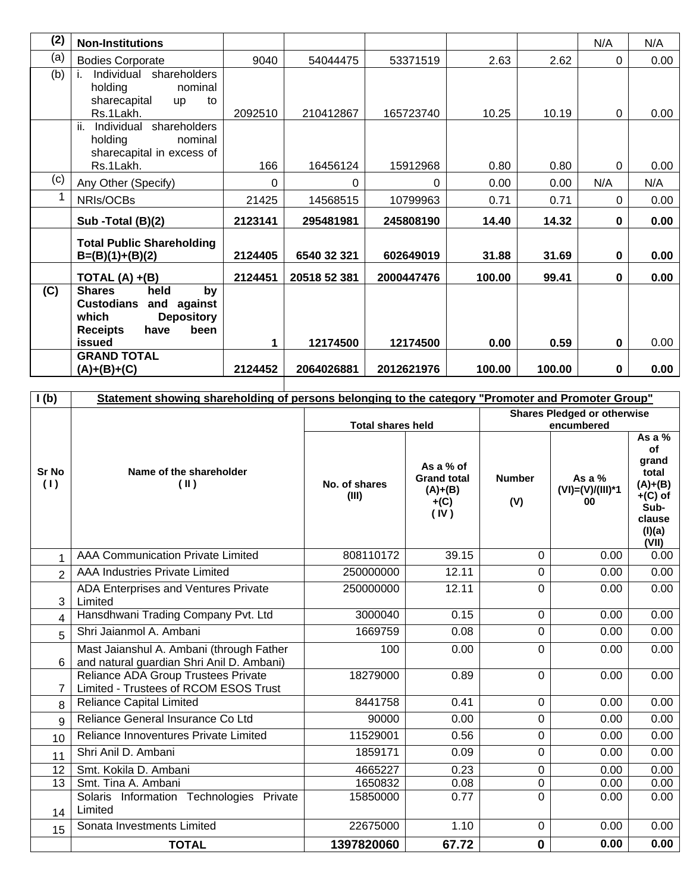| (2) | <b>Non-Institutions</b>                                                                                                                               |         |              |            |        |        | N/A         | N/A  |
|-----|-------------------------------------------------------------------------------------------------------------------------------------------------------|---------|--------------|------------|--------|--------|-------------|------|
| (a) | <b>Bodies Corporate</b>                                                                                                                               | 9040    | 54044475     | 53371519   | 2.63   | 2.62   | $\Omega$    | 0.00 |
| (b) | Individual shareholders<br>holding<br>nominal<br>sharecapital<br>to<br><b>up</b><br>Rs.1Lakh.                                                         | 2092510 | 210412867    | 165723740  | 10.25  | 10.19  | $\Omega$    | 0.00 |
|     | ii.<br>Individual shareholders<br>holding<br>nominal<br>sharecapital in excess of<br>Rs.1Lakh.                                                        | 166     | 16456124     | 15912968   | 0.80   | 0.80   | 0           | 0.00 |
| (c) | Any Other (Specify)                                                                                                                                   | 0       | 0            | 0          | 0.00   | 0.00   | N/A         | N/A  |
|     | NRIs/OCBs                                                                                                                                             | 21425   | 14568515     | 10799963   | 0.71   | 0.71   | 0           | 0.00 |
|     |                                                                                                                                                       |         |              |            |        |        |             |      |
|     | Sub -Total (B)(2)                                                                                                                                     | 2123141 | 295481981    | 245808190  | 14.40  | 14.32  | 0           | 0.00 |
|     | <b>Total Public Shareholding</b><br>$B=(B)(1)+(B)(2)$                                                                                                 | 2124405 | 6540 32 321  | 602649019  | 31.88  | 31.69  | 0           | 0.00 |
|     |                                                                                                                                                       | 2124451 | 20518 52 381 | 2000447476 | 100.00 | 99.41  | $\bf{0}$    | 0.00 |
| (C) | TOTAL $(A) + (B)$<br>held<br><b>Shares</b><br>by<br><b>Custodians</b><br>and against<br><b>Depository</b><br>which<br>been<br><b>Receipts</b><br>have |         |              |            |        |        |             |      |
|     | issued                                                                                                                                                | 1       | 12174500     | 12174500   | 0.00   | 0.59   | $\mathbf 0$ | 0.00 |
|     | <b>GRAND TOTAL</b><br>$(A)+(B)+(C)$                                                                                                                   | 2124452 | 2064026881   | 2012621976 | 100.00 | 100.00 | $\bf{0}$    | 0.00 |

| I(b)           | Statement showing shareholding of persons belonging to the category "Promoter and Promoter Group" |                          |                                                                |                                                  |                                      |                                                                                                      |  |  |
|----------------|---------------------------------------------------------------------------------------------------|--------------------------|----------------------------------------------------------------|--------------------------------------------------|--------------------------------------|------------------------------------------------------------------------------------------------------|--|--|
|                |                                                                                                   | <b>Total shares held</b> |                                                                | <b>Shares Pledged or otherwise</b><br>encumbered |                                      |                                                                                                      |  |  |
| Sr No<br>(1)   | Name of the shareholder<br>(II)                                                                   | No. of shares<br>(III)   | As a % of<br><b>Grand total</b><br>$(A)+(B)$<br>$+(C)$<br>(IV) | <b>Number</b><br>(V)                             | As a $%$<br>$(VI)=(V)/(III)*1$<br>00 | As a %<br><b>of</b><br>grand<br>total<br>$(A)+(B)$<br>$+(C)$ of<br>Sub-<br>clause<br>(I)(a)<br>(VII) |  |  |
| 1              | <b>AAA Communication Private Limited</b>                                                          | 808110172                | 39.15                                                          | $\overline{0}$                                   | 0.00                                 | 0.00                                                                                                 |  |  |
| $\overline{2}$ | <b>AAA Industries Private Limited</b>                                                             | 250000000                | 12.11                                                          | 0                                                | 0.00                                 | 0.00                                                                                                 |  |  |
| 3 <sup>1</sup> | ADA Enterprises and Ventures Private<br>Limited                                                   | 250000000                | 12.11                                                          | 0                                                | 0.00                                 | 0.00                                                                                                 |  |  |
| 4              | Hansdhwani Trading Company Pvt. Ltd                                                               | 3000040                  | 0.15                                                           | $\mathbf 0$                                      | 0.00                                 | 0.00                                                                                                 |  |  |
| 5              | Shri Jaianmol A. Ambani                                                                           | 1669759                  | 0.08                                                           | 0                                                | 0.00                                 | 0.00                                                                                                 |  |  |
| 6              | Mast Jaianshul A. Ambani (through Father<br>and natural guardian Shri Anil D. Ambani)             | 100                      | 0.00                                                           | 0                                                | 0.00                                 | 0.00                                                                                                 |  |  |
| $\overline{7}$ | Reliance ADA Group Trustees Private<br>Limited - Trustees of RCOM ESOS Trust                      | 18279000                 | 0.89                                                           | $\mathbf 0$                                      | 0.00                                 | 0.00                                                                                                 |  |  |
| 8              | <b>Reliance Capital Limited</b>                                                                   | 8441758                  | 0.41                                                           | 0                                                | 0.00                                 | 0.00                                                                                                 |  |  |
| 9              | Reliance General Insurance Co Ltd                                                                 | 90000                    | 0.00                                                           | 0                                                | 0.00                                 | 0.00                                                                                                 |  |  |
| 10             | Reliance Innoventures Private Limited                                                             | 11529001                 | 0.56                                                           | 0                                                | 0.00                                 | 0.00                                                                                                 |  |  |
| 11             | Shri Anil D. Ambani                                                                               | 1859171                  | 0.09                                                           | 0                                                | 0.00                                 | 0.00                                                                                                 |  |  |
| 12             | Smt. Kokila D. Ambani                                                                             | 4665227                  | 0.23                                                           | 0                                                | 0.00                                 | 0.00                                                                                                 |  |  |
| 13             | Smt. Tina A. Ambani                                                                               | 1650832                  | 0.08                                                           | $\overline{0}$                                   | 0.00                                 | 0.00                                                                                                 |  |  |
| 14             | Solaris Information Technologies Private<br>Limited                                               | 15850000                 | 0.77                                                           | 0                                                | 0.00                                 | 0.00                                                                                                 |  |  |
| 15             | Sonata Investments Limited                                                                        | 22675000                 | 1.10                                                           | 0                                                | 0.00                                 | 0.00                                                                                                 |  |  |
|                | <b>TOTAL</b>                                                                                      | 1397820060               | 67.72                                                          | $\mathbf 0$                                      | 0.00                                 | 0.00                                                                                                 |  |  |